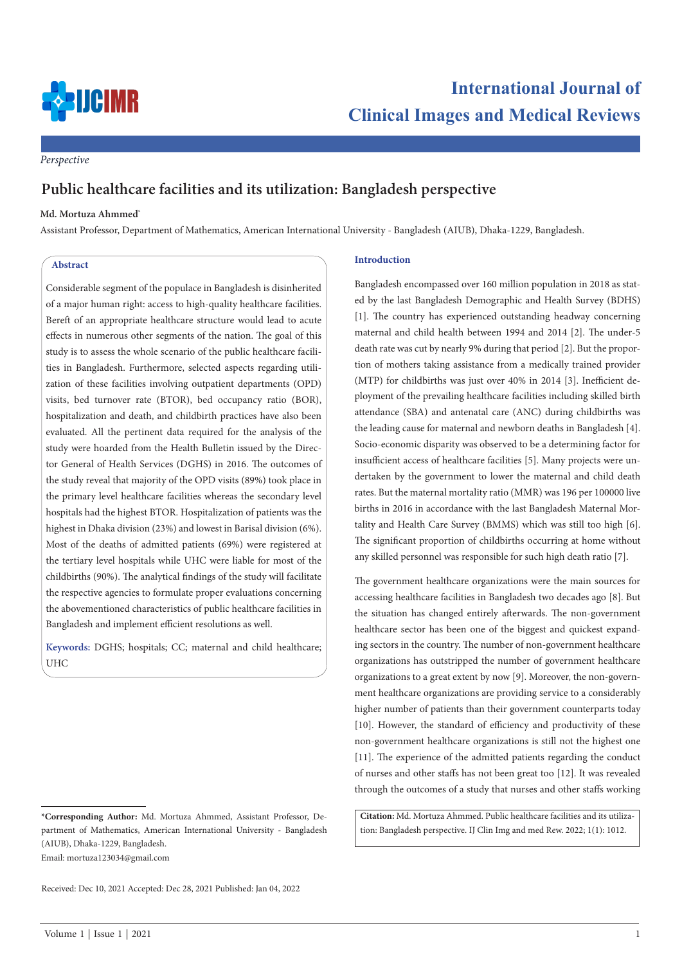

*Perspective*

# **Public healthcare facilities and its utilization: Bangladesh perspective**

### **Md. Mortuza Ahmmed\***

Assistant Professor, Department of Mathematics, American International University - Bangladesh (AIUB), Dhaka-1229, Bangladesh.

# **Abstract**

Considerable segment of the populace in Bangladesh is disinherited of a major human right: access to high-quality healthcare facilities. Bereft of an appropriate healthcare structure would lead to acute effects in numerous other segments of the nation. The goal of this study is to assess the whole scenario of the public healthcare facilities in Bangladesh. Furthermore, selected aspects regarding utilization of these facilities involving outpatient departments (OPD) visits, bed turnover rate (BTOR), bed occupancy ratio (BOR), hospitalization and death, and childbirth practices have also been evaluated. All the pertinent data required for the analysis of the study were hoarded from the Health Bulletin issued by the Director General of Health Services (DGHS) in 2016. The outcomes of the study reveal that majority of the OPD visits (89%) took place in the primary level healthcare facilities whereas the secondary level hospitals had the highest BTOR. Hospitalization of patients was the highest in Dhaka division (23%) and lowest in Barisal division (6%). Most of the deaths of admitted patients (69%) were registered at the tertiary level hospitals while UHC were liable for most of the childbirths (90%). The analytical findings of the study will facilitate the respective agencies to formulate proper evaluations concerning the abovementioned characteristics of public healthcare facilities in Bangladesh and implement efficient resolutions as well.

**Keywords:** DGHS; hospitals; CC; maternal and child healthcare; UHC

#### **Introduction**

Bangladesh encompassed over 160 million population in 2018 as stated by the last Bangladesh Demographic and Health Survey (BDHS) [1]. The country has experienced outstanding headway concerning maternal and child health between 1994 and 2014 [2]. The under-5 death rate was cut by nearly 9% during that period [2]. But the proportion of mothers taking assistance from a medically trained provider (MTP) for childbirths was just over 40% in 2014 [3]. Inefficient deployment of the prevailing healthcare facilities including skilled birth attendance (SBA) and antenatal care (ANC) during childbirths was the leading cause for maternal and newborn deaths in Bangladesh [4]. Socio-economic disparity was observed to be a determining factor for insufficient access of healthcare facilities [5]. Many projects were undertaken by the government to lower the maternal and child death rates. But the maternal mortality ratio (MMR) was 196 per 100000 live births in 2016 in accordance with the last Bangladesh Maternal Mortality and Health Care Survey (BMMS) which was still too high [6]. The significant proportion of childbirths occurring at home without any skilled personnel was responsible for such high death ratio [7].

The government healthcare organizations were the main sources for accessing healthcare facilities in Bangladesh two decades ago [8]. But the situation has changed entirely afterwards. The non-government healthcare sector has been one of the biggest and quickest expanding sectors in the country. The number of non-government healthcare organizations has outstripped the number of government healthcare organizations to a great extent by now [9]. Moreover, the non-government healthcare organizations are providing service to a considerably higher number of patients than their government counterparts today [10]. However, the standard of efficiency and productivity of these non-government healthcare organizations is still not the highest one [11]. The experience of the admitted patients regarding the conduct of nurses and other staffs has not been great too [12]. It was revealed through the outcomes of a study that nurses and other staffs working

**Citation:** Md. Mortuza Ahmmed. Public healthcare facilities and its utilization: Bangladesh perspective. IJ Clin Img and med Rew. 2022; 1(1): 1012.

**<sup>\*</sup>Corresponding Author:** Md. Mortuza Ahmmed, Assistant Professor, Department of Mathematics, American International University - Bangladesh (AIUB), Dhaka-1229, Bangladesh. Email: mortuza123034@gmail.com

Received: Dec 10, 2021 Accepted: Dec 28, 2021 Published: Jan 04, 2022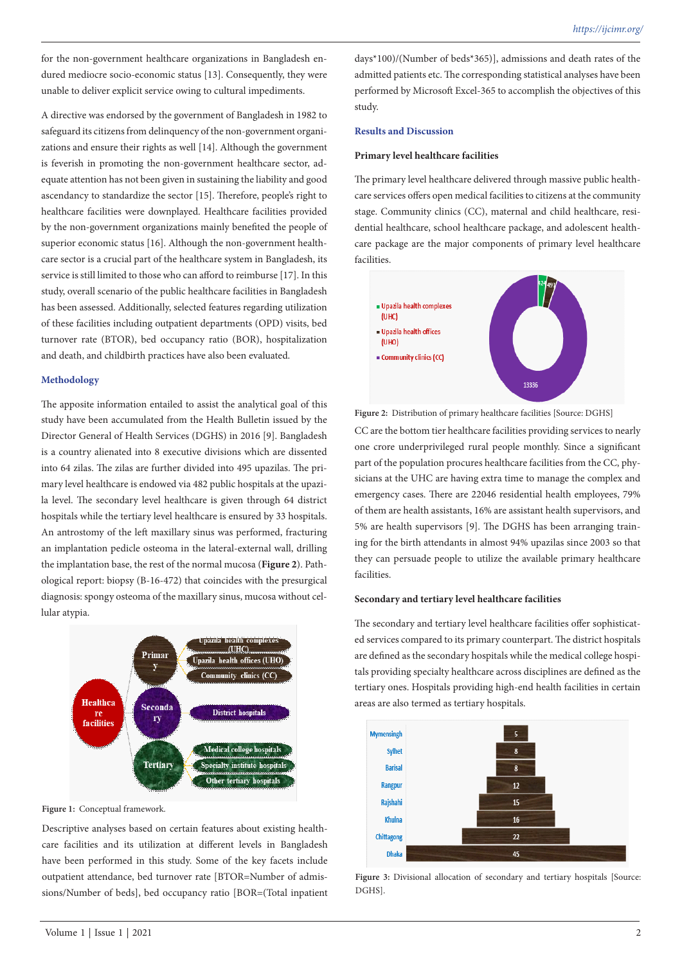for the non-government healthcare organizations in Bangladesh endured mediocre socio-economic status [13]. Consequently, they were unable to deliver explicit service owing to cultural impediments.

A directive was endorsed by the government of Bangladesh in 1982 to safeguard its citizens from delinquency of the non-government organizations and ensure their rights as well [14]. Although the government is feverish in promoting the non-government healthcare sector, adequate attention has not been given in sustaining the liability and good ascendancy to standardize the sector [15]. Therefore, people's right to healthcare facilities were downplayed. Healthcare facilities provided by the non-government organizations mainly benefited the people of superior economic status [16]. Although the non-government healthcare sector is a crucial part of the healthcare system in Bangladesh, its service is still limited to those who can afford to reimburse [17]. In this study, overall scenario of the public healthcare facilities in Bangladesh has been assessed. Additionally, selected features regarding utilization of these facilities including outpatient departments (OPD) visits, bed turnover rate (BTOR), bed occupancy ratio (BOR), hospitalization and death, and childbirth practices have also been evaluated.

#### **Methodology**

The apposite information entailed to assist the analytical goal of this study have been accumulated from the Health Bulletin issued by the Director General of Health Services (DGHS) in 2016 [9]. Bangladesh is a country alienated into 8 executive divisions which are dissented into 64 zilas. The zilas are further divided into 495 upazilas. The primary level healthcare is endowed via 482 public hospitals at the upazila level. The secondary level healthcare is given through 64 district hospitals while the tertiary level healthcare is ensured by 33 hospitals. An antrostomy of the left maxillary sinus was performed, fracturing an implantation pedicle osteoma in the lateral-external wall, drilling the implantation base, the rest of the normal mucosa (**Figure 2**). Pathological report: biopsy (B-16-472) that coincides with the presurgical diagnosis: spongy osteoma of the maxillary sinus, mucosa without cellular atypia.



# **Figure 1:** Conceptual framework.

Descriptive analyses based on certain features about existing healthcare facilities and its utilization at different levels in Bangladesh have been performed in this study. Some of the key facets include outpatient attendance, bed turnover rate [BTOR=Number of admissions/Number of beds], bed occupancy ratio [BOR=(Total inpatient days\*100)/(Number of beds\*365)], admissions and death rates of the admitted patients etc. The corresponding statistical analyses have been performed by Microsoft Excel-365 to accomplish the objectives of this study.

# **Results and Discussion**

# **Primary level healthcare facilities**

The primary level healthcare delivered through massive public healthcare services offers open medical facilities to citizens at the community stage. Community clinics (CC), maternal and child healthcare, residential healthcare, school healthcare package, and adolescent healthcare package are the major components of primary level healthcare facilities.



**Figure 2:** Distribution of primary healthcare facilities [Source: DGHS] CC are the bottom tier healthcare facilities providing services to nearly one crore underprivileged rural people monthly. Since a significant part of the population procures healthcare facilities from the CC, physicians at the UHC are having extra time to manage the complex and emergency cases. There are 22046 residential health employees, 79% of them are health assistants, 16% are assistant health supervisors, and 5% are health supervisors [9]. The DGHS has been arranging training for the birth attendants in almost 94% upazilas since 2003 so that they can persuade people to utilize the available primary healthcare facilities.

# **Secondary and tertiary level healthcare facilities**

The secondary and tertiary level healthcare facilities offer sophisticated services compared to its primary counterpart. The district hospitals are defined as the secondary hospitals while the medical college hospitals providing specialty healthcare across disciplines are defined as the tertiary ones. Hospitals providing high-end health facilities in certain areas are also termed as tertiary hospitals.



Figure 3: Divisional allocation of secondary and tertiary hospitals [Source: DGHS].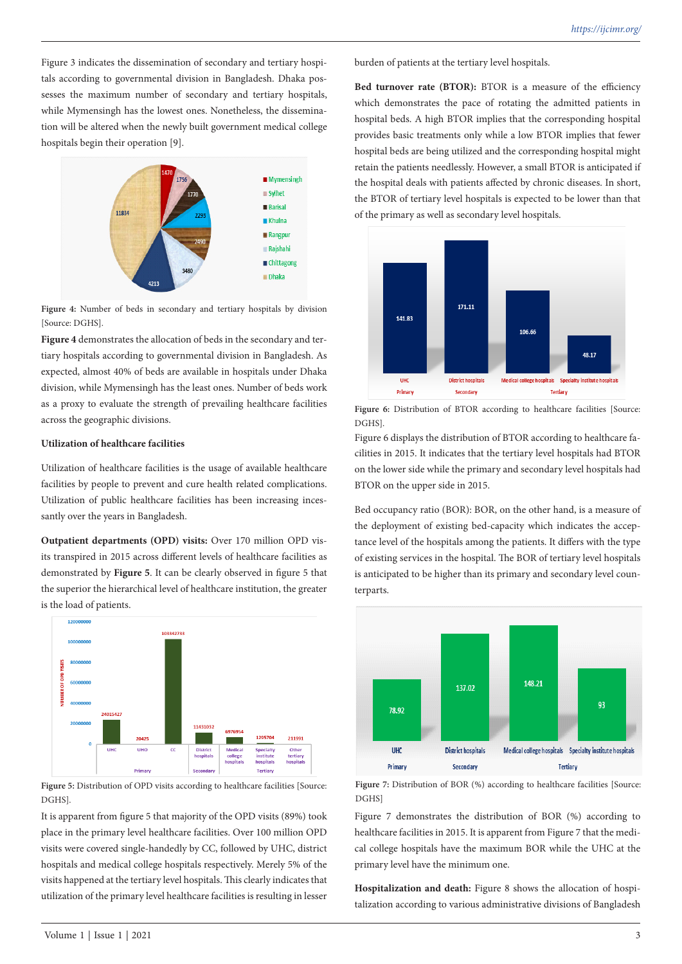Figure 3 indicates the dissemination of secondary and tertiary hospitals according to governmental division in Bangladesh. Dhaka possesses the maximum number of secondary and tertiary hospitals, while Mymensingh has the lowest ones. Nonetheless, the dissemination will be altered when the newly built government medical college hospitals begin their operation [9].



**Figure 4:** Number of beds in secondary and tertiary hospitals by division [Source: DGHS].

**Figure 4** demonstrates the allocation of beds in the secondary and tertiary hospitals according to governmental division in Bangladesh. As expected, almost 40% of beds are available in hospitals under Dhaka division, while Mymensingh has the least ones. Number of beds work as a proxy to evaluate the strength of prevailing healthcare facilities across the geographic divisions.

# **Utilization of healthcare facilities**

Utilization of healthcare facilities is the usage of available healthcare facilities by people to prevent and cure health related complications. Utilization of public healthcare facilities has been increasing incessantly over the years in Bangladesh.

**Outpatient departments (OPD) visits:** Over 170 million OPD visits transpired in 2015 across different levels of healthcare facilities as demonstrated by **Figure 5**. It can be clearly observed in figure 5 that the superior the hierarchical level of healthcare institution, the greater is the load of patients.



Figure 5: Distribution of OPD visits according to healthcare facilities [Source: DGHS].

It is apparent from figure 5 that majority of the OPD visits (89%) took place in the primary level healthcare facilities. Over 100 million OPD visits were covered single-handedly by CC, followed by UHC, district hospitals and medical college hospitals respectively. Merely 5% of the visits happened at the tertiary level hospitals. This clearly indicates that utilization of the primary level healthcare facilities is resulting in lesser

burden of patients at the tertiary level hospitals.

**Bed turnover rate (BTOR):** BTOR is a measure of the efficiency which demonstrates the pace of rotating the admitted patients in hospital beds. A high BTOR implies that the corresponding hospital provides basic treatments only while a low BTOR implies that fewer hospital beds are being utilized and the corresponding hospital might retain the patients needlessly. However, a small BTOR is anticipated if the hospital deals with patients affected by chronic diseases. In short, the BTOR of tertiary level hospitals is expected to be lower than that of the primary as well as secondary level hospitals.



Figure 6: Distribution of BTOR according to healthcare facilities [Source: DGHS].

Figure 6 displays the distribution of BTOR according to healthcare facilities in 2015. It indicates that the tertiary level hospitals had BTOR on the lower side while the primary and secondary level hospitals had BTOR on the upper side in 2015.

Bed occupancy ratio (BOR): BOR, on the other hand, is a measure of the deployment of existing bed-capacity which indicates the acceptance level of the hospitals among the patients. It differs with the type of existing services in the hospital. The BOR of tertiary level hospitals is anticipated to be higher than its primary and secondary level counterparts.



Figure 7: Distribution of BOR (%) according to healthcare facilities [Source: DGHS]

Figure 7 demonstrates the distribution of BOR (%) according to healthcare facilities in 2015. It is apparent from Figure 7 that the medical college hospitals have the maximum BOR while the UHC at the primary level have the minimum one.

**Hospitalization and death:** Figure 8 shows the allocation of hospitalization according to various administrative divisions of Bangladesh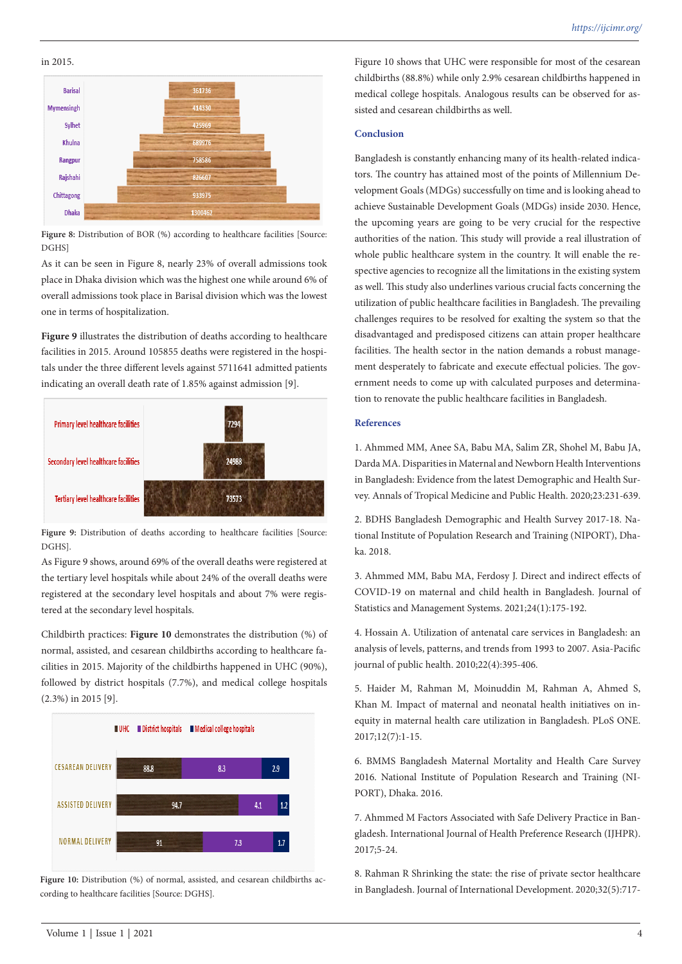in 2015.



Figure 8: Distribution of BOR (%) according to healthcare facilities [Source: DGHS]

As it can be seen in Figure 8, nearly 23% of overall admissions took place in Dhaka division which was the highest one while around 6% of overall admissions took place in Barisal division which was the lowest one in terms of hospitalization.

Figure 9 illustrates the distribution of deaths according to healthcare facilities in 2015. Around 105855 deaths were registered in the hospitals under the three different levels against 5711641 admitted patients indicating an overall death rate of 1.85% against admission [9].



Figure 9: Distribution of deaths according to healthcare facilities [Source: DGHS].

As Figure 9 shows, around 69% of the overall deaths were registered at the tertiary level hospitals while about 24% of the overall deaths were registered at the secondary level hospitals and about 7% were registered at the secondary level hospitals.

Childbirth practices: **Figure 10** demonstrates the distribution (%) of normal, assisted, and cesarean childbirths according to healthcare facilities in 2015. Majority of the childbirths happened in UHC (90%), followed by district hospitals (7.7%), and medical college hospitals (2.3%) in 2015 [9].



Figure 10: Distribution (%) of normal, assisted, and cesarean childbirths according to healthcare facilities [Source: DGHS].

Figure 10 shows that UHC were responsible for most of the cesarean childbirths (88.8%) while only 2.9% cesarean childbirths happened in medical college hospitals. Analogous results can be observed for assisted and cesarean childbirths as well.

#### **Conclusion**

Bangladesh is constantly enhancing many of its health-related indicators. The country has attained most of the points of Millennium Development Goals (MDGs) successfully on time and is looking ahead to achieve Sustainable Development Goals (MDGs) inside 2030. Hence, the upcoming years are going to be very crucial for the respective authorities of the nation. This study will provide a real illustration of whole public healthcare system in the country. It will enable the respective agencies to recognize all the limitations in the existing system as well. This study also underlines various crucial facts concerning the utilization of public healthcare facilities in Bangladesh. The prevailing challenges requires to be resolved for exalting the system so that the disadvantaged and predisposed citizens can attain proper healthcare facilities. The health sector in the nation demands a robust management desperately to fabricate and execute effectual policies. The government needs to come up with calculated purposes and determination to renovate the public healthcare facilities in Bangladesh.

# **References**

1. Ahmmed MM, Anee SA, Babu MA, Salim ZR, Shohel M, Babu JA, Darda MA. Disparities in Maternal and Newborn Health Interventions in Bangladesh: Evidence from the latest Demographic and Health Survey. Annals of Tropical Medicine and Public Health. 2020;23:231-639.

2. BDHS Bangladesh Demographic and Health Survey 2017-18. National Institute of Population Research and Training (NIPORT), Dhaka. 2018.

3. Ahmmed MM, Babu MA, Ferdosy J. Direct and indirect effects of COVID-19 on maternal and child health in Bangladesh. Journal of Statistics and Management Systems. 2021;24(1):175-192.

4. Hossain A. Utilization of antenatal care services in Bangladesh: an analysis of levels, patterns, and trends from 1993 to 2007. Asia-Pacific journal of public health. 2010;22(4):395-406.

5. Haider M, Rahman M, Moinuddin M, Rahman A, Ahmed S, Khan M. Impact of maternal and neonatal health initiatives on inequity in maternal health care utilization in Bangladesh. PLoS ONE. 2017;12(7):1-15.

6. BMMS Bangladesh Maternal Mortality and Health Care Survey 2016. National Institute of Population Research and Training (NI-PORT), Dhaka. 2016.

7. Ahmmed M Factors Associated with Safe Delivery Practice in Bangladesh. International Journal of Health Preference Research (IJHPR). 2017;5-24.

8. Rahman R Shrinking the state: the rise of private sector healthcare in Bangladesh. Journal of International Development. 2020;32(5):717-